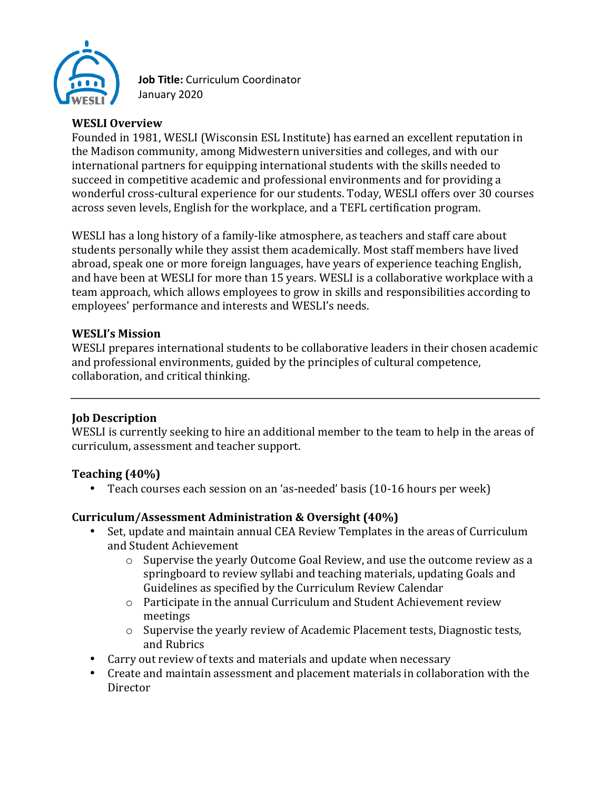

Job Title: Curriculum Coordinator January 2020

### **WESLI Overview**

Founded in 1981, WESLI (Wisconsin ESL Institute) has earned an excellent reputation in the Madison community, among Midwestern universities and colleges, and with our international partners for equipping international students with the skills needed to succeed in competitive academic and professional environments and for providing a wonderful cross-cultural experience for our students. Today, WESLI offers over 30 courses across seven levels, English for the workplace, and a TEFL certification program.

WESLI has a long history of a family-like atmosphere, as teachers and staff care about students personally while they assist them academically. Most staff members have lived abroad, speak one or more foreign languages, have years of experience teaching English, and have been at WESLI for more than 15 years. WESLI is a collaborative workplace with a team approach, which allows employees to grow in skills and responsibilities according to employees' performance and interests and WESLI's needs.

#### **WESLI's Mission**

WESLI prepares international students to be collaborative leaders in their chosen academic and professional environments, guided by the principles of cultural competence, collaboration, and critical thinking.

### **Iob Description**

WESLI is currently seeking to hire an additional member to the team to help in the areas of curriculum, assessment and teacher support.

#### Teaching (40%)

• Teach courses each session on an 'as-needed' basis (10-16 hours per week)

#### Curriculum/Assessment Administration & Oversight (40%)

- Set, update and maintain annual CEA Review Templates in the areas of Curriculum and Student Achievement
	- o Supervise the yearly Outcome Goal Review, and use the outcome review as a springboard to review syllabi and teaching materials, updating Goals and Guidelines as specified by the Curriculum Review Calendar
	- $\circ$  Participate in the annual Curriculum and Student Achievement review meetings
	- o Supervise the yearly review of Academic Placement tests, Diagnostic tests, and Rubrics
- Carry out review of texts and materials and update when necessary
- Create and maintain assessment and placement materials in collaboration with the Director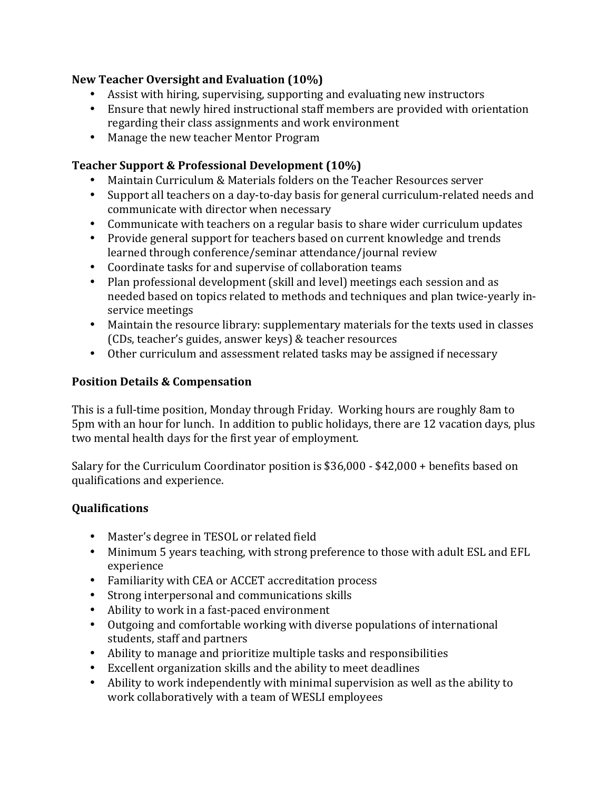### **New Teacher Oversight and Evaluation (10%)**

- Assist with hiring, supervising, supporting and evaluating new instructors
- Ensure that newly hired instructional staff members are provided with orientation regarding their class assignments and work environment
- Manage the new teacher Mentor Program

## Teacher Support & Professional Development (10%)

- Maintain Curriculum & Materials folders on the Teacher Resources server
- Support all teachers on a day-to-day basis for general curriculum-related needs and communicate with director when necessary
- Communicate with teachers on a regular basis to share wider curriculum updates
- Provide general support for teachers based on current knowledge and trends learned through conference/seminar attendance/journal review
- Coordinate tasks for and supervise of collaboration teams
- Plan professional development (skill and level) meetings each session and as needed based on topics related to methods and techniques and plan twice-yearly inservice meetings
- Maintain the resource library: supplementary materials for the texts used in classes (CDs, teacher's guides, answer keys) & teacher resources
- Other curriculum and assessment related tasks may be assigned if necessary

# **Position Details & Compensation**

This is a full-time position, Monday through Friday. Working hours are roughly 8am to 5pm with an hour for lunch. In addition to public holidays, there are 12 vacation days, plus two mental health days for the first year of employment.

Salary for the Curriculum Coordinator position is \$36,000 - \$42,000 + benefits based on qualifications and experience.

# **Qualifications**

- Master's degree in TESOL or related field
- Minimum 5 years teaching, with strong preference to those with adult ESL and EFL experience
- Familiarity with CEA or ACCET accreditation process
- Strong interpersonal and communications skills
- Ability to work in a fast-paced environment
- Outgoing and comfortable working with diverse populations of international students, staff and partners
- Ability to manage and prioritize multiple tasks and responsibilities
- Excellent organization skills and the ability to meet deadlines
- Ability to work independently with minimal supervision as well as the ability to work collaboratively with a team of WESLI employees